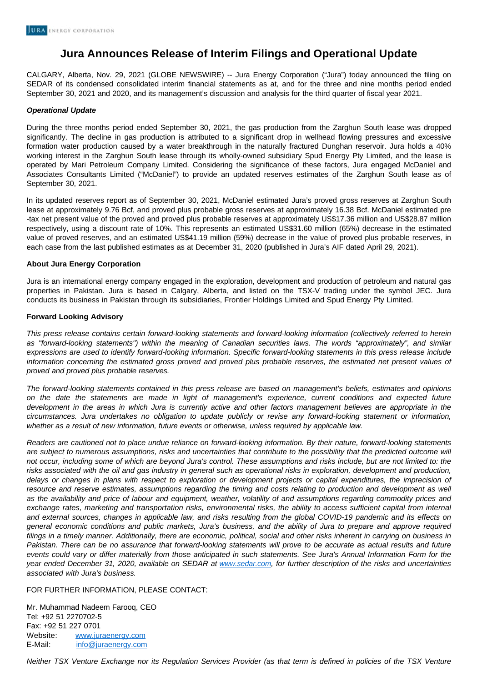## **Jura Announces Release of Interim Filings and Operational Update**

CALGARY, Alberta, Nov. 29, 2021 (GLOBE NEWSWIRE) -- Jura Energy Corporation ("Jura") today announced the filing on SEDAR of its condensed consolidated interim financial statements as at, and for the three and nine months period ended September 30, 2021 and 2020, and its management's discussion and analysis for the third quarter of fiscal year 2021.

## **Operational Update**

During the three months period ended September 30, 2021, the gas production from the Zarghun South lease was dropped significantly. The decline in gas production is attributed to a significant drop in wellhead flowing pressures and excessive formation water production caused by a water breakthrough in the naturally fractured Dunghan reservoir. Jura holds a 40% working interest in the Zarghun South lease through its wholly-owned subsidiary Spud Energy Pty Limited, and the lease is operated by Mari Petroleum Company Limited. Considering the significance of these factors, Jura engaged McDaniel and Associates Consultants Limited ("McDaniel") to provide an updated reserves estimates of the Zarghun South lease as of September 30, 2021.

In its updated reserves report as of September 30, 2021, McDaniel estimated Jura's proved gross reserves at Zarghun South lease at approximately 9.76 Bcf, and proved plus probable gross reserves at approximately 16.38 Bcf. McDaniel estimated pre -tax net present value of the proved and proved plus probable reserves at approximately US\$17.36 million and US\$28.87 million respectively, using a discount rate of 10%. This represents an estimated US\$31.60 million (65%) decrease in the estimated value of proved reserves, and an estimated US\$41.19 million (59%) decrease in the value of proved plus probable reserves, in each case from the last published estimates as at December 31, 2020 (published in Jura's AIF dated April 29, 2021).

## **About Jura Energy Corporation**

Jura is an international energy company engaged in the exploration, development and production of petroleum and natural gas properties in Pakistan. Jura is based in Calgary, Alberta, and listed on the TSX-V trading under the symbol JEC. Jura conducts its business in Pakistan through its subsidiaries, Frontier Holdings Limited and Spud Energy Pty Limited.

## **Forward Looking Advisory**

This press release contains certain forward-looking statements and forward-looking information (collectively referred to herein as "forward-looking statements") within the meaning of Canadian securities laws. The words "approximately", and similar expressions are used to identify forward-looking information. Specific forward-looking statements in this press release include information concerning the estimated gross proved and proved plus probable reserves, the estimated net present values of proved and proved plus probable reserves.

The forward-looking statements contained in this press release are based on management's beliefs, estimates and opinions on the date the statements are made in light of management's experience, current conditions and expected future development in the areas in which Jura is currently active and other factors management believes are appropriate in the circumstances. Jura undertakes no obligation to update publicly or revise any forward-looking statement or information, whether as a result of new information, future events or otherwise, unless required by applicable law.

Readers are cautioned not to place undue reliance on forward-looking information. By their nature, forward-looking statements are subject to numerous assumptions, risks and uncertainties that contribute to the possibility that the predicted outcome will not occur, including some of which are beyond Jura's control. These assumptions and risks include, but are not limited to: the risks associated with the oil and gas industry in general such as operational risks in exploration, development and production, delays or changes in plans with respect to exploration or development projects or capital expenditures, the imprecision of resource and reserve estimates, assumptions regarding the timing and costs relating to production and development as well as the availability and price of labour and equipment, weather, volatility of and assumptions regarding commodity prices and exchange rates, marketing and transportation risks, environmental risks, the ability to access sufficient capital from internal and external sources, changes in applicable law, and risks resulting from the global COVID-19 pandemic and its effects on general economic conditions and public markets, Jura's business, and the ability of Jura to prepare and approve required filings in a timely manner. Additionally, there are economic, political, social and other risks inherent in carrying on business in Pakistan. There can be no assurance that forward-looking statements will prove to be accurate as actual results and future events could vary or differ materially from those anticipated in such statements. See Jura's Annual Information Form for the year ended December 31, 2020, available on SEDAR at [www.sedar.com,](http://www.sedar.com/) for further description of the risks and uncertainties associated with Jura's business.

FOR FURTHER INFORMATION, PLEASE CONTACT:

Mr. Muhammad Nadeem Farooq, CEO Tel: +92 51 2270702-5 Fax: +92 51 227 0701 Website: [www.juraenergy.com](http://www.juraenergy.com/) E‐Mail: [info@juraenergy.com](mailto:info@juraenergy.com)

Neither TSX Venture Exchange nor its Regulation Services Provider (as that term is defined in policies of the TSX Venture